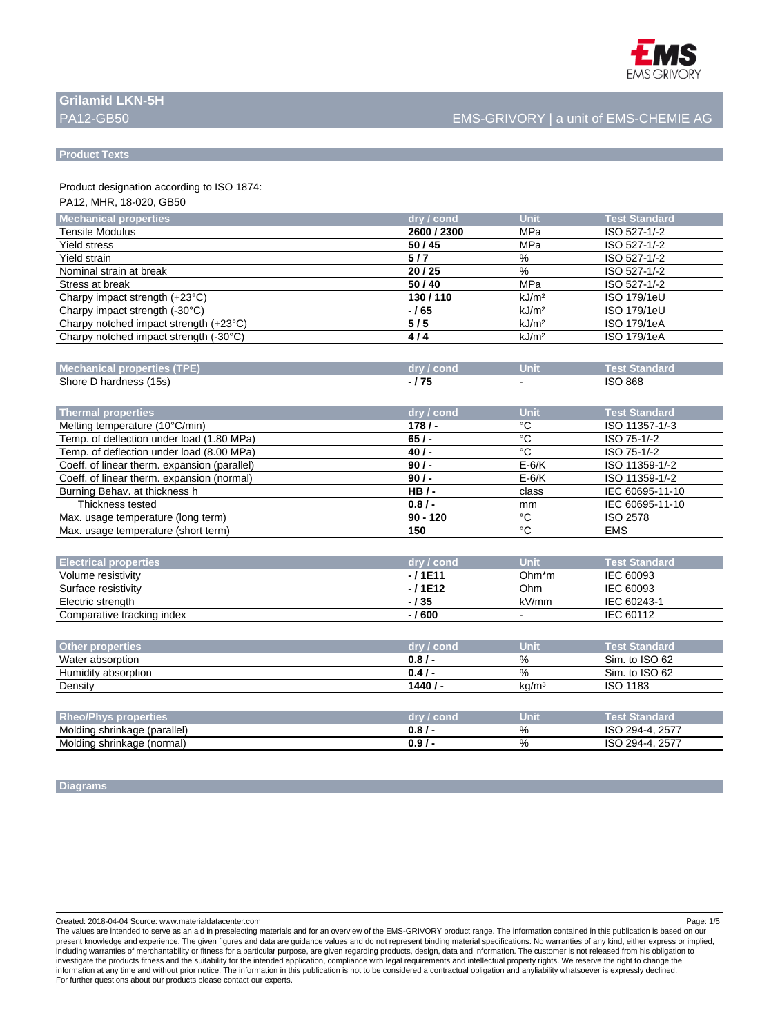

# **Grilamid LKN-5H**

## PA12-GB50 EMS-GRIVORY | a unit of EMS-CHEMIE AG

#### **Product Texts**

Product designation according to ISO 1874:

## PA12, MHR, 18-020, GB50

| <b>Mechanical properties</b>            | dry / cond  | Unit              | <b>Test Standard</b> |
|-----------------------------------------|-------------|-------------------|----------------------|
| <b>Tensile Modulus</b>                  | 2600 / 2300 | MPa               | ISO 527-1/-2         |
| <b>Yield stress</b>                     | 50/45       | MPa               | ISO 527-1/-2         |
| Yield strain                            | 5/7         | %                 | ISO 527-1/-2         |
| Nominal strain at break                 | 20/25       | %                 | ISO 527-1/-2         |
| Stress at break                         | 50/40       | MPa               | ISO 527-1/-2         |
| Charpy impact strength $(+23^{\circ}C)$ | 130/110     | kJ/m <sup>2</sup> | ISO 179/1eU          |
| Charpy impact strength (-30°C)          | -165        | kJ/m <sup>2</sup> | ISO 179/1eU          |
| Charpy notched impact strength (+23°C)  | 5/5         | kJ/m <sup>2</sup> | ISO 179/1eA          |
| Charpy notched impact strength (-30°C)  | 4/4         | kJ/m <sup>2</sup> | ISO 179/1eA          |
|                                         |             |                   |                      |

| <b>Mechanical properties (TF</b> | drv / cond | чтв | <b>CARD LESS</b><br>itandari |
|----------------------------------|------------|-----|------------------------------|
| Shore D hardness (15s)           | 75         |     | <b>ISO 868</b>               |

| Thermal properties                           | dry / cond | Unit    | <b>Test Standard</b> |
|----------------------------------------------|------------|---------|----------------------|
| Melting temperature (10°C/min)               | 178/       | °С      | ISO 11357-1/-3       |
| Temp. of deflection under load (1.80 MPa)    | 65/        | °С      | ISO 75-1/-2          |
| Temp. of deflection under load (8.00 MPa)    | 40/        | °C      | ISO 75-1/-2          |
| Coeff. of linear therm. expansion (parallel) | 90/        | $E-6/K$ | ISO 11359-1/-2       |
| Coeff. of linear therm. expansion (normal)   | 90/        | $E-6/K$ | ISO 11359-1/-2       |
| Burning Behav. at thickness h                | $HB/-$     | class   | IEC 60695-11-10      |
| Thickness tested                             | $0.8/$ -   | mm      | IEC 60695-11-10      |
| Max. usage temperature (long term)           | $90 - 120$ | °€      | <b>ISO 2578</b>      |
| Max. usage temperature (short term)          | 150        | °€      | <b>EMS</b>           |

| <b>Electrical properties</b> | dry / cond | <b>Unit</b>       | <b>Test Standard</b> |
|------------------------------|------------|-------------------|----------------------|
| Volume resistivity           | $-11E11$   | $Ohm*m$           | IEC 60093            |
| Surface resistivity          | $-11E12$   | Ohm               | IEC 60093            |
| Electric strength            | $-135$     | kV/mm             | IEC 60243-1          |
| Comparative tracking index   | $-1600$    | $\,$              | IEC 60112            |
|                              |            |                   |                      |
| <b>Other properties</b>      | dry / cond | Unit              | <b>Test Standard</b> |
| Water absorption             | $0.8/$ -   | %                 | Sim. to ISO 62       |
| Humidity absorption          | 0.4/       | %                 | Sim. to ISO 62       |
| Density                      | 1440/      | kq/m <sup>3</sup> | <b>ISO 1183</b>      |
|                              |            |                   |                      |
| <b>Rheo/Phys properties</b>  | dry / cond | Unit              | <b>Test Standard</b> |

| <b>YODERIES</b><br>mvs                 | 9 I N | Unit | standard<br>1351 |
|----------------------------------------|-------|------|------------------|
| (parallel)<br>Molding shrinkage        | v.o   | %    | 2577<br>·≀u⊿.    |
| Molding shrinkage<br>(normal)<br>- - - | v.J   | %    | 2577<br>∙ч⊿-.    |

**Diagrams**

Created: 2018-04-04 Source: www.materialdatacenter.com Page: 1/5

The values are intended to serve as an aid in preselecting materials and for an overview of the EMS-GRIVORY product range. The information contained in this publication is based on our present knowledge and experience. The given figures and data are guidance values and do not represent binding material specifications. No warranties of any kind, either express or implied, including warranties of merchantability or fitness for a particular purpose, are given regarding products, design, data and information. The customer is not released from his obligation to investigate the products fitness and the suitability for the intended application, compliance with legal requirements and intellectual property rights. We reserve the right to change the<br>information at any time and without For further questions about our products please contact our experts.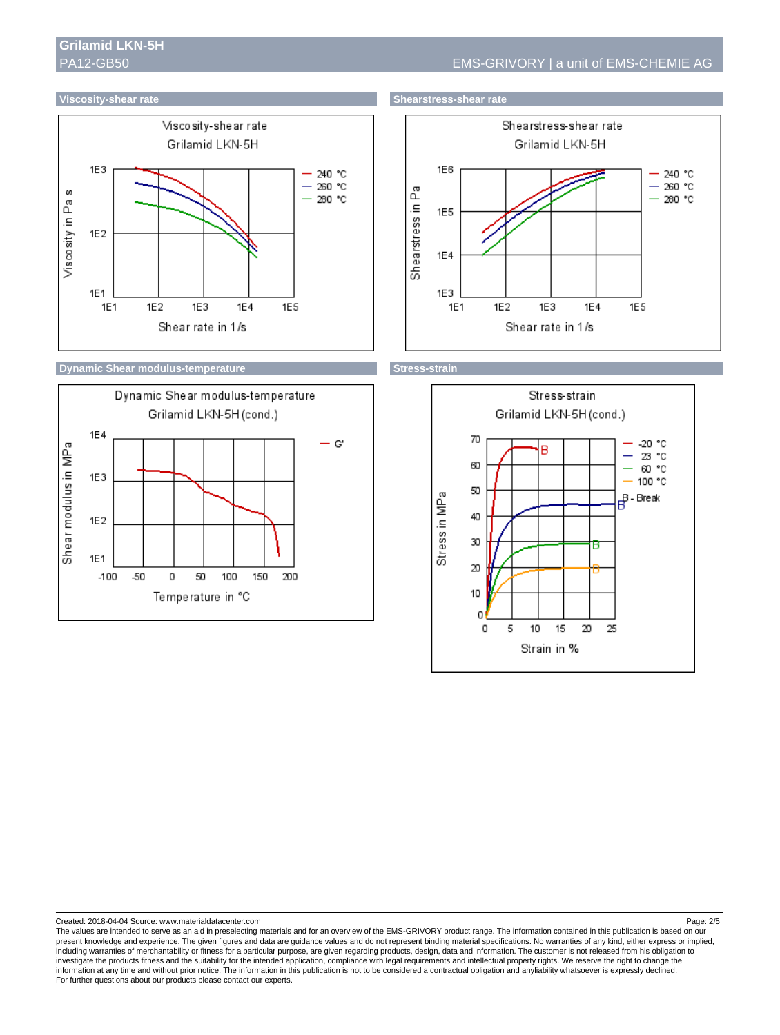







Created: 2018-04-04 Source: www.materialdatacenter.com Page: 2/5

The values are intended to serve as an aid in preselecting materials and for an overview of the EMS-GRIVORY product range. The information contained in this publication is based on our present knowledge and experience. The given figures and data are guidance values and do not represent binding material specifications. No warranties of any kind, either express or implied, including warranties of merchantability or fitness for a particular purpose, are given regarding products, design, data and information. The customer is not released from his obligation to investigate the products fitness and the suitability for the intended application, compliance with legal requirements and intellectual property rights. We reserve the right to change the<br>information at any time and without For further questions about our products please contact our experts.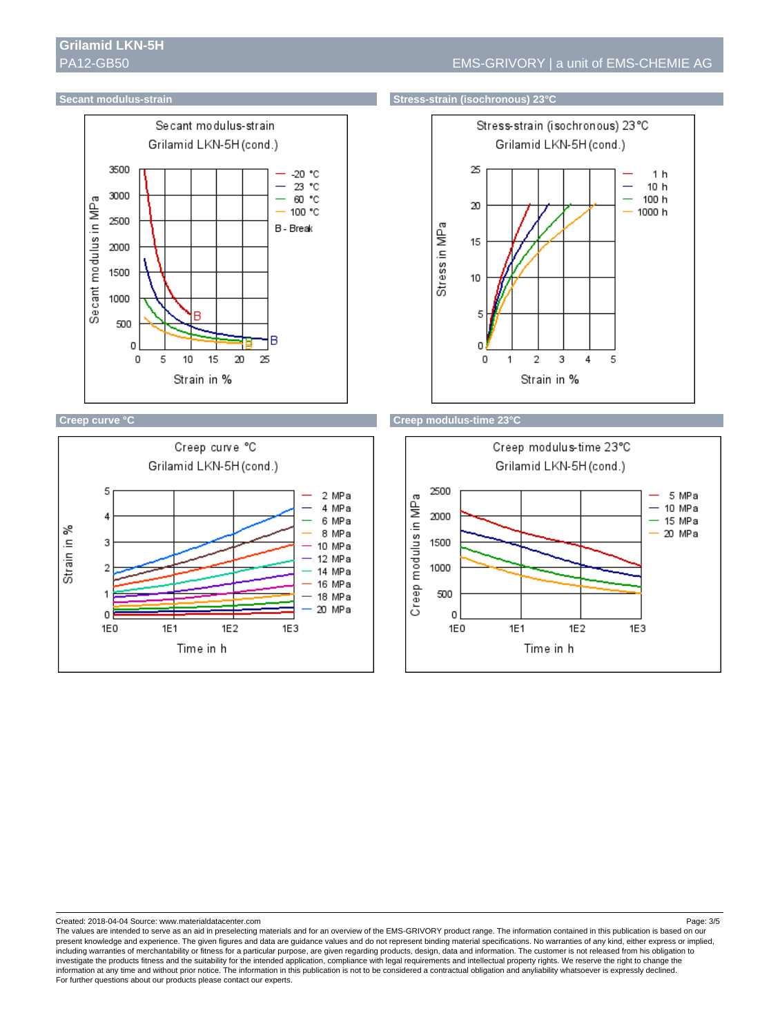



#### **Secant modulus-strain Stress-strain (isochronous) 23°C**







Created: 2018-04-04 Source: www.materialdatacenter.com Page: 3/5

The values are intended to serve as an aid in preselecting materials and for an overview of the EMS-GRIVORY product range. The information contained in this publication is based on our present knowledge and experience. The given figures and data are guidance values and do not represent binding material specifications. No warranties of any kind, either express or implied, including warranties of merchantability or fitness for a particular purpose, are given regarding products, design, data and information. The customer is not released from his obligation to investigate the products fitness and the suitability for the intended application, compliance with legal requirements and intellectual property rights. We reserve the right to change the<br>information at any time and without For further questions about our products please contact our experts.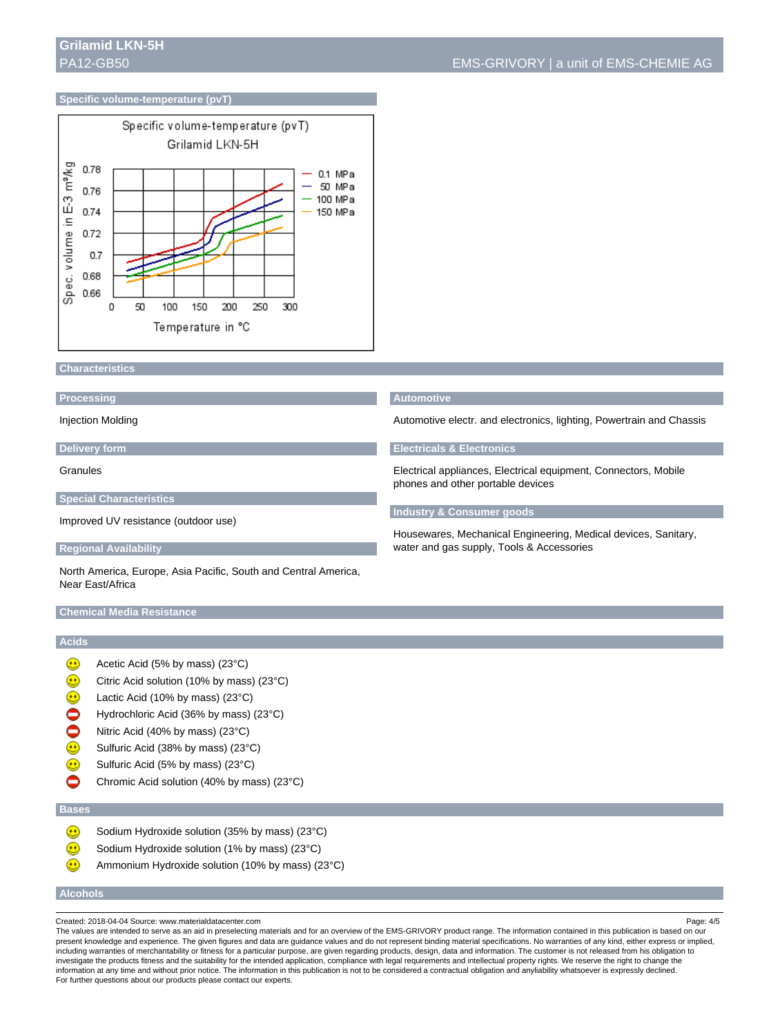#### **Specific volume-temperature (pvT)**



#### **Characteristics**

#### **Processing**

Injection Molding

#### **Delivery form**

Granules

#### **Special Characteristics**

Improved UV resistance (outdoor use)

#### **Regional Availability**

North America, Europe, Asia Pacific, South and Central America, Near East/Africa

#### **Chemical Media Resistance**

## **Acids**

- $\bigcirc$ Acetic Acid (5% by mass) (23°C)
- $\textcircled{\scriptsize{1}}$ Citric Acid solution (10% by mass) (23°C)
- ٥ Lactic Acid (10% by mass) (23°C)
- $\bullet$ Hydrochloric Acid (36% by mass) (23°C)
- Ŏ Nitric Acid (40% by mass) (23°C)
- Sulfuric Acid (38% by mass) (23°C)
- $\textcircled{\tiny{\textcircled{\tiny{1}}}}$ Sulfuric Acid (5% by mass) (23°C)
- ◓ Chromic Acid solution (40% by mass) (23°C)

#### **Bases**

- $\bigcirc$ Sodium Hydroxide solution (35% by mass) (23°C)
- $\textcircled{\scriptsize{1}}$ Sodium Hydroxide solution (1% by mass) (23°C)
- $\textcircled{\scriptsize{1}}$ Ammonium Hydroxide solution (10% by mass) (23°C)

#### **Alcohols**

The values are intended to serve as an aid in preselecting materials and for an overview of the EMS-GRIVORY product range. The information contained in this publication is based on our present knowledge and experience. The given figures and data are guidance values and do not represent binding material specifications. No warranties of any kind, either express or implied, including warranties of merchantability or fitness for a particular purpose, are given regarding products, design, data and information. The customer is not released from his obligation to investigate the products fitness and the suitability for the intended application, compliance with legal requirements and intellectual property rights. We reserve the right to change the information at any time and without prior notice. The information in this publication is not to be considered a contractual obligation and anyliability whatsoever is expressly declined. For further questions about our products please contact our experts.

#### **Automotive**

Automotive electr. and electronics, lighting, Powertrain and Chassis

#### **Electricals & Electronics**

Electrical appliances, Electrical equipment, Connectors, Mobile phones and other portable devices

#### **Industry & Consumer goods**

Housewares, Mechanical Engineering, Medical devices, Sanitary, water and gas supply, Tools & Accessories

Created: 2018-04-04 Source: www.materialdatacenter.com Page: 4/5